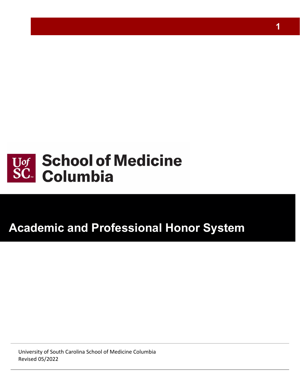

# **Academic and Professional Honor System**

University of South Carolina School of Medicine Columbia Revised 05/2022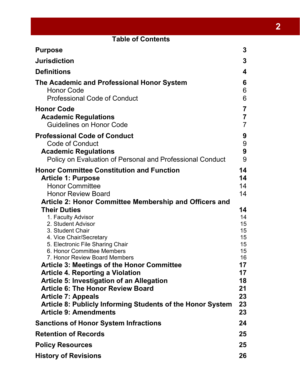| <b>Table of Contents</b>                                                                                                                                                                                                                                                                                                                                                                                                                                                                                                                                                                                     |                                                                                        |  |  |
|--------------------------------------------------------------------------------------------------------------------------------------------------------------------------------------------------------------------------------------------------------------------------------------------------------------------------------------------------------------------------------------------------------------------------------------------------------------------------------------------------------------------------------------------------------------------------------------------------------------|----------------------------------------------------------------------------------------|--|--|
| <b>Purpose</b>                                                                                                                                                                                                                                                                                                                                                                                                                                                                                                                                                                                               | 3                                                                                      |  |  |
| <b>Jurisdiction</b>                                                                                                                                                                                                                                                                                                                                                                                                                                                                                                                                                                                          | $\mathbf{3}$                                                                           |  |  |
| <b>Definitions</b>                                                                                                                                                                                                                                                                                                                                                                                                                                                                                                                                                                                           | 4                                                                                      |  |  |
| The Academic and Professional Honor System<br><b>Honor Code</b><br><b>Professional Code of Conduct</b>                                                                                                                                                                                                                                                                                                                                                                                                                                                                                                       | 6<br>6<br>6                                                                            |  |  |
| <b>Honor Code</b><br><b>Academic Regulations</b><br><b>Guidelines on Honor Code</b>                                                                                                                                                                                                                                                                                                                                                                                                                                                                                                                          | $\overline{7}$<br>$\overline{7}$<br>$\overline{7}$                                     |  |  |
| <b>Professional Code of Conduct</b><br><b>Code of Conduct</b><br><b>Academic Regulations</b><br>Policy on Evaluation of Personal and Professional Conduct                                                                                                                                                                                                                                                                                                                                                                                                                                                    | 9<br>9<br>9<br>9                                                                       |  |  |
| <b>Honor Committee Constitution and Function</b><br><b>Article 1: Purpose</b><br><b>Honor Committee</b><br><b>Honor Review Board</b>                                                                                                                                                                                                                                                                                                                                                                                                                                                                         | 14<br>14<br>14<br>14                                                                   |  |  |
| Article 2: Honor Committee Membership and Officers and<br><b>Their Duties</b><br>1. Faculty Advisor<br>2. Student Advisor<br>3. Student Chair<br>4. Vice Chair/Secretary<br>5. Electronic File Sharing Chair<br>6 Honor Committee Members<br>7. Honor Review Board Members<br><b>Article 3: Meetings of the Honor Committee</b><br><b>Article 4. Reporting a Violation</b><br><b>Article 5: Investigation of an Allegation</b><br><b>Article 6: The Honor Review Board</b><br><b>Article 7: Appeals</b><br><b>Article 8: Publicly Informing Students of the Honor System</b><br><b>Article 9: Amendments</b> | 14<br>14<br>15<br>15<br>15<br>15<br>15<br>16<br>17<br>17<br>18<br>21<br>23<br>23<br>23 |  |  |
| <b>Sanctions of Honor System Infractions</b>                                                                                                                                                                                                                                                                                                                                                                                                                                                                                                                                                                 | 24                                                                                     |  |  |
| <b>Retention of Records</b>                                                                                                                                                                                                                                                                                                                                                                                                                                                                                                                                                                                  | 25                                                                                     |  |  |
| <b>Policy Resources</b>                                                                                                                                                                                                                                                                                                                                                                                                                                                                                                                                                                                      | 25                                                                                     |  |  |
| <b>History of Revisions</b>                                                                                                                                                                                                                                                                                                                                                                                                                                                                                                                                                                                  | 26                                                                                     |  |  |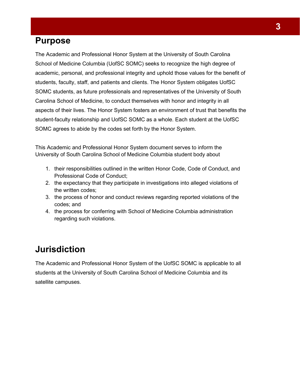# <span id="page-2-0"></span>**Purpose**

The Academic and Professional Honor System at the University of South Carolina School of Medicine Columbia (UofSC SOMC) seeks to recognize the high degree of academic, personal, and professional integrity and uphold those values for the benefit of students, faculty, staff, and patients and clients. The Honor System obligates UofSC SOMC students, as future professionals and representatives of the University of South Carolina School of Medicine, to conduct themselves with honor and integrity in all aspects of their lives. The Honor System fosters an environment of trust that benefits the student-faculty relationship and UofSC SOMC as a whole. Each student at the UofSC SOMC agrees to abide by the codes set forth by the Honor System.

This Academic and Professional Honor System document serves to inform the University of South Carolina School of Medicine Columbia student body about

- 1. their responsibilities outlined in the written Honor Code, Code of Conduct, and Professional Code of Conduct;
- 2. the expectancy that they participate in investigations into alleged violations of the written codes;
- 3. the process of honor and conduct reviews regarding reported violations of the codes; and
- 4. the process for conferring with School of Medicine Columbia administration regarding such violations.

# <span id="page-2-1"></span>**Jurisdiction**

The Academic and Professional Honor System of the UofSC SOMC is applicable to all students at the University of South Carolina School of Medicine Columbia and its satellite campuses.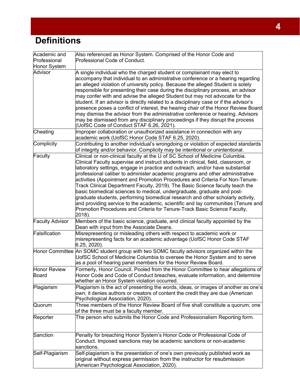# <span id="page-3-0"></span>**Definitions**

| Academic and                 | Also referenced as Honor System. Comprised of the Honor Code and                                                                                                                                                                                                                                                                                                                                                                                                                                                                                                                                                                                                                                                                                                                                                                                 |
|------------------------------|--------------------------------------------------------------------------------------------------------------------------------------------------------------------------------------------------------------------------------------------------------------------------------------------------------------------------------------------------------------------------------------------------------------------------------------------------------------------------------------------------------------------------------------------------------------------------------------------------------------------------------------------------------------------------------------------------------------------------------------------------------------------------------------------------------------------------------------------------|
| Professional                 | Professional Code of Conduct.                                                                                                                                                                                                                                                                                                                                                                                                                                                                                                                                                                                                                                                                                                                                                                                                                    |
| Honor System                 |                                                                                                                                                                                                                                                                                                                                                                                                                                                                                                                                                                                                                                                                                                                                                                                                                                                  |
| <b>Advisor</b>               | A single individual who the charged student or complainant may elect to<br>accompany that individual to an administrative conference or a hearing regarding<br>an alleged violation of university policy. Because the alleged Student is solely<br>responsible for presenting their case during the disciplinary process, an advisor<br>may confer with and advise the alleged Student but may not advocate for the<br>student. If an advisor is directly related to a disciplinary case or if the advisor's<br>presence poses a conflict of interest, the hearing chair of the Honor Review Board<br>may dismiss the advisor from the administrative conference or hearing. Advisors<br>may be dismissed from any disciplinary proceedings if they disrupt the process<br>(UofSC Code of Conduct STAF 6.26, 2021).                              |
| Cheating                     | Improper collaboration or unauthorized assistance in connection with any<br>academic work (UofSC Honor Code STAF 6.25, 2020).                                                                                                                                                                                                                                                                                                                                                                                                                                                                                                                                                                                                                                                                                                                    |
| Complicity                   | Contributing to another individual's wrongdoing or violation of expected standards<br>of integrity and/or behavior. Complicity may be intentional or unintentional.                                                                                                                                                                                                                                                                                                                                                                                                                                                                                                                                                                                                                                                                              |
| Faculty                      | Clinical or non-clinical faculty at the U of SC School of Medicine Columbia.<br>Clinical Faculty supervise and instruct students in clinical, field, classroom, or<br>laboratory settings, engage in practice and outreach, and/or have substantial<br>professional caliber to administer academic programs and other administrative<br>activities (Appointment and Promotion Procedures and Criteria For Non-Tenure-<br>Track Clinical Department Faculty, 2019). The Basic Science faculty teach the<br>basic biomedical sciences to medical, undergraduate, graduate and post-<br>graduate students, performing biomedical research and other scholarly activity,<br>and providing service to the academic, scientific and lay communities (Tenure and<br>Promotion Procedures and Criteria for Tenure-Track Basic Science Faculty,<br>2018). |
| <b>Faculty Advisor</b>       | Members of the basic science, graduate, and clinical faculty appointed by the<br>Dean with input from the Associate Deans.                                                                                                                                                                                                                                                                                                                                                                                                                                                                                                                                                                                                                                                                                                                       |
| Falsification                | Misrepresenting or misleading others with respect to academic work or<br>misrepresenting facts for an academic advantage (UofSC Honor Code STAF<br>6.25, 2020).                                                                                                                                                                                                                                                                                                                                                                                                                                                                                                                                                                                                                                                                                  |
|                              | Honor Committee An SOMC student group with two SOMC faculty advisors organized within the<br>UofSC School of Medicine Columbia to oversee the Honor System and to serve<br>as a pool of hearing panel members for the Honor Review Board.                                                                                                                                                                                                                                                                                                                                                                                                                                                                                                                                                                                                        |
| Honor Review<br><b>Board</b> | Formerly, Honor Council. Pooled from the Honor Committee to hear allegations of<br>Honor Code and Code of Conduct breaches, evaluate information, and determine<br>whether an Honor System violation occurred.                                                                                                                                                                                                                                                                                                                                                                                                                                                                                                                                                                                                                                   |
| Plagiarism                   | Plagiarism is the act of presenting the words, ideas, or images of another as one's<br>own; it denies authors or creators of content the credit they are due (American<br>Psychological Association, 2020).                                                                                                                                                                                                                                                                                                                                                                                                                                                                                                                                                                                                                                      |
| Quorum                       | Three members of the Honor Review Board of five shall constitute a quorum; one<br>of the three must be a faculty member.                                                                                                                                                                                                                                                                                                                                                                                                                                                                                                                                                                                                                                                                                                                         |
| Reporter                     | The person who submits the Honor Code and Professionalism Reporting form.                                                                                                                                                                                                                                                                                                                                                                                                                                                                                                                                                                                                                                                                                                                                                                        |
| Sanction                     | Penalty for breaching Honor System's Honor Code or Professional Code of<br>Conduct. Imposed sanctions may be academic sanctions or non-academic<br>sanctions.                                                                                                                                                                                                                                                                                                                                                                                                                                                                                                                                                                                                                                                                                    |
| Self-Plagiarism              | Self-plagiarism is the presentation of one's own previously published work as<br>original without express permission from the instructor for resubmission<br>(American Psychological Association, 2020).                                                                                                                                                                                                                                                                                                                                                                                                                                                                                                                                                                                                                                         |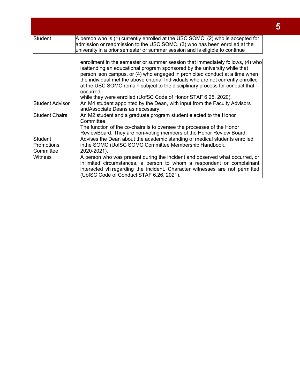| <b>Student</b>                     | A person who is (1) currently enrolled at the USC SOMC, (2) who is accepted for<br>admission or readmission to the USC SOMC, (3) who has been enrolled at the<br>university in a prior semester or summer session and is eligible to continue                                                                                                                                                                                                                                                  |  |
|------------------------------------|------------------------------------------------------------------------------------------------------------------------------------------------------------------------------------------------------------------------------------------------------------------------------------------------------------------------------------------------------------------------------------------------------------------------------------------------------------------------------------------------|--|
|                                    |                                                                                                                                                                                                                                                                                                                                                                                                                                                                                                |  |
|                                    | enrollment in the semester or summer session that immediately follows, (4) who<br>isattending an educational program sponsored by the university while that<br>person ison campus, or (4) who engaged in prohibited conduct at a time when<br>the individual met the above criteria. Individuals who are not currently enrolled<br>at the USC SOMC remain subject to the disciplinary process for conduct that<br>loccurred<br>while they were enrolled (UofSC Code of Honor STAF 6.25, 2020). |  |
| <b>Student Advisor</b>             | An M4 student appointed by the Dean, with input from the Faculty Advisors<br>andAssociate Deans as necessary.                                                                                                                                                                                                                                                                                                                                                                                  |  |
| <b>Student Chairs</b>              | An M2 student and a graduate program student elected to the Honor<br>Committee.<br>The function of the co-chairs is to oversee the processes of the Honor<br>ReviewBoard. They are non-voting members of the Honor Review Board.                                                                                                                                                                                                                                                               |  |
| Student<br>Promotions<br>Committee | Advises the Dean about the academic standing of medical students enrolled<br>inthe SOMC (UofSC SOMC Committee Membership Handbook,<br>2020-2021).                                                                                                                                                                                                                                                                                                                                              |  |
| <b>Witness</b>                     | A person who was present during the incident and observed what occurred, or<br>in limited circumstances, a person to whom a respondent or complainant<br>interacted wh regarding the incident. Character witnesses are not permitted<br>(UofSC Code of Conduct STAF 6.26, 2021).                                                                                                                                                                                                               |  |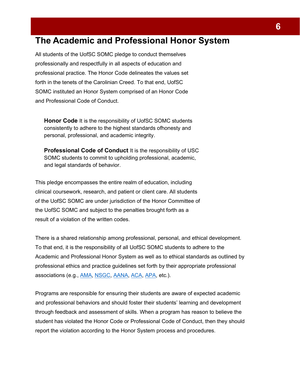# <span id="page-5-0"></span>**The Academic and Professional Honor System**

All students of the UofSC SOMC pledge to conduct themselves professionally and respectfully in all aspects of education and professional practice. The Honor Code delineates the values set forth in the tenets of the Carolinian Creed. To that end, UofSC SOMC instituted an Honor System comprised of an Honor Code and Professional Code of Conduct.

<span id="page-5-1"></span>**Honor Code** It is the responsibility of UofSC SOMC students consistently to adhere to the highest standards ofhonesty and personal, professional, and academic integrity.

<span id="page-5-2"></span>**Professional Code of Conduct** It is the responsibility of USC SOMC students to commit to upholding professional, academic, and legal standards of behavior.

This pledge encompasses the entire realm of education, including clinical coursework, research, and patient or client care. All students of the UofSC SOMC are under jurisdiction of the Honor Committee of the UofSC SOMC and subject to the penalties brought forth as a result of a violation of the written codes.

There is a shared relationship among professional, personal, and ethical development. To that end, it is the responsibility of all UofSC SOMC students to adhere to the Academic and Professional Honor System as well as to ethical standards as outlined by professional ethics and practice guidelines set forth by their appropriate professional associations (e.g., [AMA,](https://www.ama-assn.org/delivering-care/ethics/code-medical-ethics-overview) [NSGC,](https://www.nsgc.org/Policy-Research-and-Publications/Code-of-Ethics-Conflict-of-Interest/Code-of-Ethics) [AANA,](https://www.aana.com/docs/default-source/practice-aana-com-web-documents-(all)/professional-practice-manual/code-of-ethics-for-the-crna.pdf) [ACA,](https://www.counseling.org/docs/default-source/default-document-library/2014-code-of-ethics-finaladdress.pdf?sfvrsn=96b532c_2) [APA,](https://www.apa.org/ethics/code) etc.).

Programs are responsible for ensuring their students are aware of expected academic and professional behaviors and should foster their students' learning and development through feedback and assessment of skills. When a program has reason to believe the student has violated the Honor Code or Professional Code of Conduct, then they should report the violation according to the Honor System process and procedures.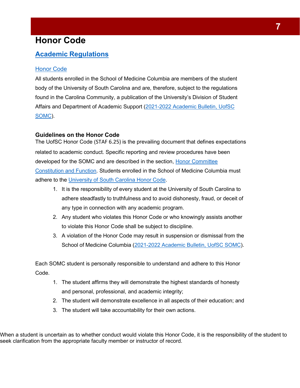# <span id="page-6-0"></span>**Honor Code**

### <span id="page-6-1"></span>**Academic Regulations**

#### Honor Code

All students enrolled in the School of Medicine Columbia are members of the student body of the University of South Carolina and are, therefore, subject to the regulations found in the Carolina Community, a publication of the University's Division of Student Affairs and Department of Academic Support (2021-2022 Academic Bulletin, UofSC SOMC).

#### <span id="page-6-2"></span>**Guidelines on the Honor Code**

The UofSC Honor Code (STAF 6.25) is the prevailing document that defines expectations related to academic conduct. Specific reporting and review procedures have been developed for the SOMC and are described in the section, [Honor Committee](#page-13-0) [Constitution and Function.](#page-13-0) Students enrolled in the School of Medicine Columbia must adhere to the University of South Carolina Honor Code.

- 1. It is the responsibility of every student at the University of South Carolina to adhere steadfastly to truthfulness and to avoid dishonesty, fraud, or deceit of any type in connection with any academic program.
- 2. Any student who violates this Honor Code or who knowingly assists another to violate this Honor Code shall be subject to discipline.
- 3. A violation of the Honor Code may result in suspension or dismissal from the School of Medicine Columbia (2021-2022 Academic Bulletin, UofSC SOMC).

Each SOMC student is personally responsible to understand and adhere to this Honor Code.

- 1. The student affirms they will demonstrate the highest standards of honesty and personal, professional, and academic integrity;
- 2. The student will demonstrate excellence in all aspects of their education; and
- 3. The student will take accountability for their own actions.

When a student is uncertain as to whether conduct would violate this Honor Code, it is the responsibility of the student to seek clarification from the appropriate faculty member or instructor of record.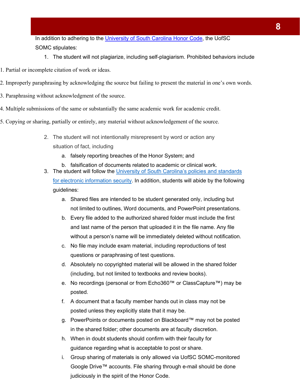In addition to adhering to the [University of South Carolina Honor Code,](http://www.sc.edu/policies/ppm/staf625.pdf) the UofSC SOMC stipulates:

- 1. The student will not plagiarize, including self-plagiarism. Prohibited behaviors include
- 1. Partial or incomplete citation of work or ideas.
- 2. Improperly paraphrasing by acknowledging the source but failing to present the material in one's own words.
- 3. Paraphrasing without acknowledgment of the source.
- 4. Multiple submissions of the same or substantially the same academic work for academic credit.
- 5. Copying or sharing, partially or entirely, any material without acknowledgement of the source.
	- 2. The student will not intentionally misrepresent by word or action any situation of fact, including
		- a. falsely reporting breaches of the Honor System; and
		- b. falsification of documents related to academic or clinical work.
	- 3. The student will follow the University of South Carolina's policies and standards for electronic information security. In addition, students will abide by the following guidelines:
		- a. Shared files are intended to be student generated only, including but not limited to outlines, Word documents, and PowerPoint presentations.
		- b. Every file added to the authorized shared folder must include the first and last name of the person that uploaded it in the file name. Any file without a person's name will be immediately deleted without notification.
		- c. No file may include exam material, including reproductions of test questions or paraphrasing of test questions.
		- d. Absolutely no copyrighted material will be allowed in the shared folder (including, but not limited to textbooks and review books).
		- e. No recordings (personal or from Echo360™ or ClassCapture™) may be posted.
		- f. A document that a faculty member hands out in class may not be posted unless they explicitly state that it may be.
		- g. PowerPoints or documents posted on Blackboard™ may not be posted in the shared folder; other documents are at faculty discretion.
		- h. When in doubt students should confirm with their faculty for guidance regarding what is acceptable to post or share.
		- i. Group sharing of materials is only allowed via UofSC SOMC-monitored Google Drive™ accounts. File sharing through e-mail should be done judiciously in the spirit of the Honor Code.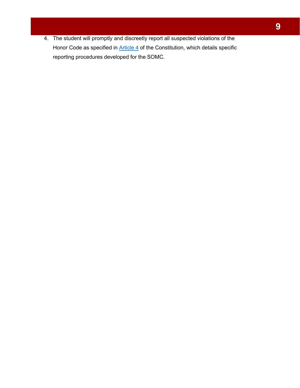4. The student will promptly and discreetly report all suspected violations of the Honor Code as specified in [Article 4](#page-17-1) of the Constitution, which details specific reporting procedures developed for the SOMC.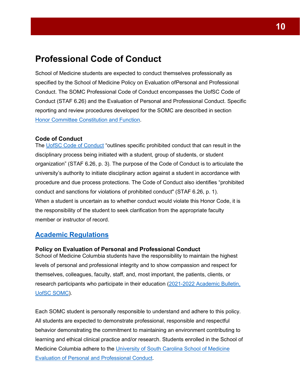## <span id="page-9-0"></span>**Professional Code of Conduct**

School of Medicine students are expected to conduct themselves professionally as specified by the School of Medicine Policy on Evaluation ofPersonal and Professional Conduct. The SOMC Professional Code of Conduct encompasses the UofSC Code of Conduct (STAF 6.26) and the Evaluation of Personal and Professional Conduct. Specific reporting and review procedures developed for the SOMC are described in section Honor Committee [Constitution](#page-13-0) and Function.

#### <span id="page-9-1"></span>**Code of Conduct**

The [UofSC Code of Conduct](https://www.sc.edu/policies/ppm/staf626.pdf) "outlines specific prohibited conduct that can result in the disciplinary process being initiated with a student, group of students, or student organization" (STAF 6.26, p. 3). The purpose of the Code of Conduct is to articulate the university's authority to initiate disciplinary action against a student in accordance with procedure and due process protections. The Code of Conduct also identifies "prohibited conduct and sanctions for violations of prohibited conduct" (STAF 6.26, p. 1). When a student is uncertain as to whether conduct would violate this Honor Code, it is the responsibility of the student to seek clarification from the appropriate faculty member or instructor of record.

#### <span id="page-9-2"></span>**Academic Regulations**

#### <span id="page-9-3"></span>**Policy on Evaluation of Personal and Professional Conduct**

School of Medicine Columbia students have the responsibility to maintain the highest levels of personal and professional integrity and to show compassion and respect for themselves, colleagues, faculty, staff, and, most important, the patients, clients, or research participants who participate in their education (2021-2022 Academic Bulletin, UofSC SOMC).

Each SOMC student is personally responsible to understand and adhere to this policy. All students are expected to demonstrate professional, responsible and respectful behavior demonstrating the commitment to maintaining an environment contributing to learning and ethical clinical practice and/or research. Students enrolled in the School of Medicine Columbia adhere to the University of South Carolina School of Medicine Evaluation of Personal and Professional Conduct.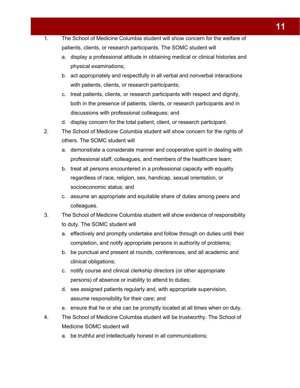- 1. The School of Medicine Columbia student will show concern for the welfare of patients, clients, or research participants. The SOMC student will
	- a. display a professional attitude in obtaining medical or clinical histories and physical examinations;
	- b. act appropriately and respectfully in all verbal and nonverbal interactions with patients, clients, or research participants;
	- c. treat patients, clients, or research participants with respect and dignity, both in the presence of patients, clients, or research participants and in discussions with professional colleagues; and
	- d. display concern for the total patient, client, or research participant.
- 2. The School of Medicine Columbia student will show concern for the rights of others. The SOMC student will
	- a. demonstrate a considerate manner and cooperative spirit in dealing with professional staff, colleagues, and members of the healthcare team;
	- b. treat all persons encountered in a professional capacity with equality regardless of race, religion, sex, handicap, sexual orientation, or socioeconomic status; and
	- c. assume an appropriate and equitable share of duties among peers and colleagues.
- 3. The School of Medicine Columbia student will show evidence of responsibility to duty. The SOMC student will
	- a. effectively and promptly undertake and follow through on duties until their completion, and notify appropriate persons in authority of problems;
	- b. be punctual and present at rounds, conferences, and all academic and clinical obligations;
	- c. notify course and clinical clerkship directors (or other appropriate persons) of absence or inability to attend to duties;
	- d. see assigned patients regularly and, with appropriate supervision, assume responsibility for their care; and
	- e. ensure that he or she can be promptly located at all times when on duty.
- 4. The School of Medicine Columbia student will be trustworthy. The School of Medicine SOMC student will
	- a. be truthful and intellectually honest in all communications;

**11**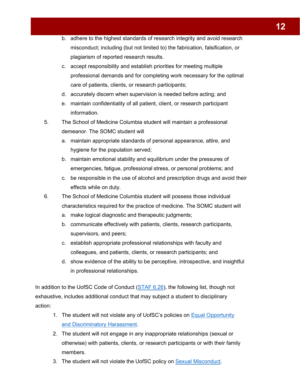- b. adhere to the highest standards of research integrity and avoid research misconduct; including (but not limited to) the fabrication, falsification, or plagiarism of reported research results.
- c. accept responsibility and establish priorities for meeting multiple professional demands and for completing work necessary for the optimal care of patients, clients, or research participants;
- d. accurately discern when supervision is needed before acting; and
- e. maintain confidentiality of all patient, client, or research participant information.
- 5. The School of Medicine Columbia student will maintain a professional demeanor. The SOMC student will
	- a. maintain appropriate standards of personal appearance, attire, and hygiene for the population served;
	- b. maintain emotional stability and equilibrium under the pressures of emergencies, fatigue, professional stress, or personal problems; and
	- c. be responsible in the use of alcohol and prescription drugs and avoid their effects while on duty.
- 6. The School of Medicine Columbia student will possess those individual characteristics required for the practice of medicine. The SOMC student will
	- a. make logical diagnostic and therapeutic judgments;
	- b. communicate effectively with patients, clients, research participants, supervisors, and peers;
	- c. establish appropriate professional relationships with faculty and colleagues, and patients, clients, or research participants; and
	- d. show evidence of the ability to be perceptive, introspective, and insightful in professional relationships.

In addition to the UofSC Code of Conduct [\(STAF 6.26\)](https://www.sc.edu/policies/ppm/staf626.pdf), the following list, though not exhaustive, includes additional conduct that may subject a student to disciplinary action:

- 1. The student will not violate any of UofSC's policies on **Equal Opportunity** and Discriminatory Harassment.
- 2. The student will not engage in any inappropriate relationships (sexual or otherwise) with patients, clients, or research participants or with their family members.
- 3. The student will not violate the UofSC policy on Sexual Misconduct.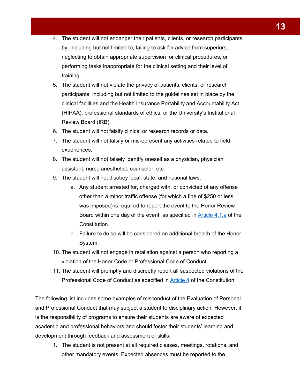- 4. The student will not endanger their patients, clients, or research participants by, including but not limited to, failing to ask for advice from superiors, neglecting to obtain appropriate supervision for clinical procedures, or performing tasks inappropriate for the clinical setting and their level of training.
- 5. The student will not violate the privacy of patients, clients, or research participants, including but not limited to the guidelines set in place by the clinical facilities and the Health Insurance Portability and Accountability Act (HIPAA), professional standards of ethics, or the University's Institutional Review Board (IRB).
- 6. The student will not falsify clinical or research records or data.
- 7. The student will not falsify or misrepresent any activities related to field experiences.
- 8. The student will not falsely identify oneself as a physician, physician assistant, nurse anesthetist, counselor, etc.
- 9. The student will not disobey local, state, and national laws.
	- a. Any student arrested for, charged with, or convicted of any offense other than a minor traffic offense (for which a fine of \$250 or less was imposed) is required to report the event to the Honor Review Board within one day of the event, as specified in [Article 4.1.a](#page-17-1) of the Constitution.
	- b. Failure to do so will be considered an additional breach of the Honor System.
- 10. The student will not engage in retaliation against a person who reporting a violation of the Honor Code or Professional Code of Conduct.
- 11. The student will promptly and discreetly report all suspected violations of the Professional Code of Conduct as specified in [Article 4 o](#page-17-1)f the Constitution.

The following list includes some examples of misconduct of the Evaluation of Personal and Professional Conduct that may subject a student to disciplinary action. However, it is the responsibility of programs to ensure their students are aware of expected academic and professional behaviors and should foster their students' learning and development through feedback and assessment of skills.

1. The student is not present at all required classes, meetings, rotations, and other mandatory events. Expected absences must be reported to the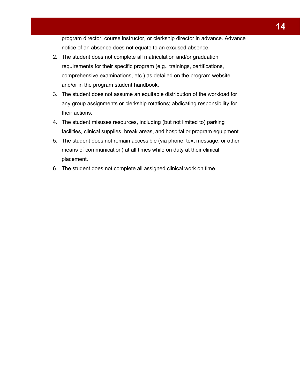program director, course instructor, or clerkship director in advance. Advance notice of an absence does not equate to an excused absence.

- <span id="page-13-0"></span>2. The student does not complete all matriculation and/or graduation requirements for their specific program (e.g., trainings, certifications, comprehensive examinations, etc.) as detailed on the program website and/or in the program student handbook.
- 3. The student does not assume an equitable distribution of the workload for any group assignments or clerkship rotations; abdicating responsibility for their actions.
- 4. The student misuses resources, including (but not limited to) parking facilities, clinical supplies, break areas, and hospital or program equipment.
- 5. The student does not remain accessible (via phone, text message, or other means of communication) at all times while on duty at their clinical placement.
- 6. The student does not complete all assigned clinical work on time.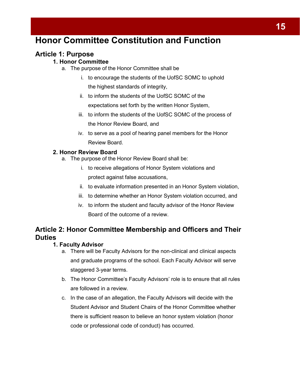# <span id="page-14-0"></span>**Honor Committee Constitution and Function**

### <span id="page-14-2"></span><span id="page-14-1"></span>**Article 1: Purpose**

#### **1. Honor Committee**

- a. The purpose of the Honor Committee shall be
	- i. to encourage the students of the UofSC SOMC to uphold the highest standards of integrity,
	- ii. to inform the students of the UofSC SOMC of the expectations set forth by the written Honor System,
	- iii. to inform the students of the UofSC SOMC of the process of the Honor Review Board, and
	- iv. to serve as a pool of hearing panel members for the Honor Review Board.

#### <span id="page-14-3"></span>**2. Honor Review Board**

- a. The purpose of the Honor Review Board shall be:
	- i. to receive allegations of Honor System violations and protect against false accusations,
	- ii. to evaluate information presented in an Honor System violation,
	- iii. to determine whether an Honor System violation occurred, and
	- iv. to inform the student and faculty advisor of the Honor Review Board of the outcome of a review.

### <span id="page-14-5"></span><span id="page-14-4"></span>**Article 2: Honor Committee Membership and Officers and Their Duties**

#### **1. Faculty Advisor**

- a. There will be Faculty Advisors for the non-clinical and clinical aspects and graduate programs of the school. Each Faculty Advisor will serve staggered 3-year terms.
- b. The Honor Committee's Faculty Advisors' role is to ensure that all rules are followed in a review.
- c. In the case of an allegation, the Faculty Advisors will decide with the Student Advisor and Student Chairs of the Honor Committee whether there is sufficient reason to believe an honor system violation (honor code or professional code of conduct) has occurred.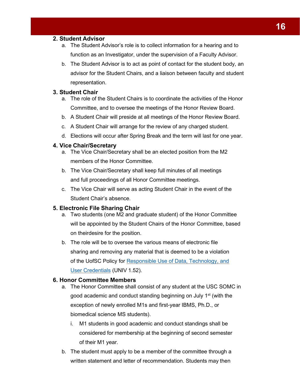#### <span id="page-15-0"></span>**2. Student Advisor**

- a. The Student Advisor's role is to collect information for a hearing and to function as an Investigator, under the supervision of a Faculty Advisor.
- b. The Student Advisor is to act as point of contact for the student body, an advisor for the Student Chairs, and a liaison between faculty and student representation.

#### <span id="page-15-1"></span>**3. Student Chair**

- a. The role of the Student Chairs is to coordinate the activities of the Honor Committee, and to oversee the meetings of the Honor Review Board.
- b. A Student Chair will preside at all meetings of the Honor Review Board.
- c. A Student Chair will arrange for the review of any charged student.
- d. Elections will occur after Spring Break and the term will last for one year.

#### <span id="page-15-2"></span>**4. Vice Chair/Secretary**

- a. The Vice Chair/Secretary shall be an elected position from the M2 members of the Honor Committee.
- b. The Vice Chair/Secretary shall keep full minutes of all meetings and full proceedings of all Honor Committee meetings.
- c. The Vice Chair will serve as acting Student Chair in the event of the Student Chair's absence.

#### <span id="page-15-3"></span>**5. Electronic File Sharing Chair**

- a. Two students (one M2 and graduate student) of the Honor Committee will be appointed by the Student Chairs of the Honor Committee, based on theirdesire for the position.
- b. The role will be to oversee the various means of electronic file sharing and removing any material that is deemed to be a violation of the UofSC Policy for [Responsible Use of Data, Technology, and](http://www.sc.edu/policies/ppm/univ152.pdf) User [Credentials](http://www.sc.edu/policies/ppm/univ152.pdf) (UNIV 1.52).

#### <span id="page-15-4"></span>**6. Honor Committee Members**

- a. The Honor Committee shall consist of any student at the USC SOMC in good academic and conduct standing beginning on July 1<sup>st</sup> (with the exception of newly enrolled M1s and first-year IBMS, Ph.D., or biomedical science MS students).
	- i. M1 students in good academic and conduct standings shall be considered for membership at the beginning of second semester of their M1 year.
- b. The student must apply to be a member of the committee through a written statement and letter of recommendation. Students may then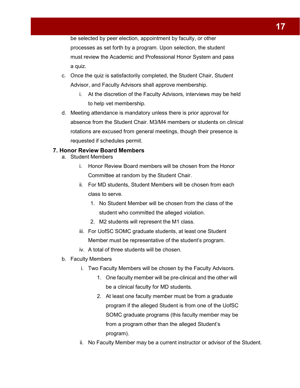be selected by peer election, appointment by faculty, or other processes as set forth by a program. Upon selection, the student must review the Academic and Professional Honor System and pass a quiz.

- c. Once the quiz is satisfactorily completed, the Student Chair, Student Advisor, and Faculty Advisors shall approve membership.
	- i. At the discretion of the Faculty Advisors, interviews may be held to help vet membership.
- d. Meeting attendance is mandatory unless there is prior approval for absence from the Student Chair. M3/M4 members or students on clinical rotations are excused from general meetings, though their presence is requested if schedules permit.

#### <span id="page-16-0"></span>**7. Honor Review Board Members**

- a. Student Members
	- i. Honor Review Board members will be chosen from the Honor Committee at random by the Student Chair.
	- ii. For MD students, Student Members will be chosen from each class to serve.
		- 1. No Student Member will be chosen from the class of the student who committed the alleged violation.
		- 2. M2 students will represent the M1 class.
	- iii. For UofSC SOMC graduate students, at least one Student Member must be representative of the student's program.
	- iv. A total of three students will be chosen.
- b. Faculty Members
	- i. Two Faculty Members will be chosen by the Faculty Advisors.
		- 1. One faculty member will be pre-clinical and the other will be a clinical faculty for MD students.
		- 2. At least one faculty member must be from a graduate program if the alleged Student is from one of the UofSC SOMC graduate programs (this faculty member may be from a program other than the alleged Student's program).
	- ii. No Faculty Member may be a current instructor or advisor of the Student.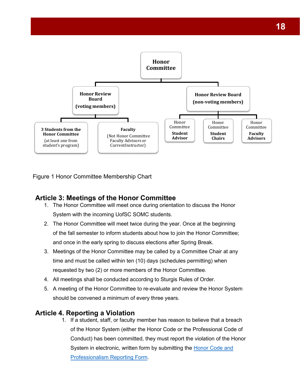

Figure 1 Honor Committee Membership Chart

### <span id="page-17-0"></span>**Article 3: Meetings of the Honor Committee**

- 1. The Honor Committee will meet once during orientation to discuss the Honor System with the incoming UofSC SOMC students.
- 2. The Honor Committee will meet twice during the year. Once at the beginning of the fall semester to inform students about how to join the Honor Committee; and once in the early spring to discuss elections after Spring Break.
- 3. Meetings of the Honor Committee may be called by a Committee Chair at any time and must be called within ten (10) days (schedules permitting) when requested by two (2) or more members of the Honor Committee.
- 4. All meetings shall be conducted according to Sturgis Rules of Order.
- 5. A meeting of the Honor Committee to re-evaluate and review the Honor System should be convened a minimum of every three years.

### <span id="page-17-1"></span>**Article 4. Reporting a Violation**

1. If a student, staff, or faculty member has reason to believe that a breach of the Honor System (either the Honor Code or the Professional Code of Conduct) has been committed, they must report the violation of the Honor System in electronic, written form by submitting the [Honor Code and](https://docs.google.com/forms/d/1nB_MuAP7cF-MoK2mAo_Ak2_AhidqC3Rjn4odJuwWmWU/viewform?edit_requested=true) Professionalism [Reporting Form.](https://docs.google.com/forms/d/1nB_MuAP7cF-MoK2mAo_Ak2_AhidqC3Rjn4odJuwWmWU/viewform?edit_requested=true)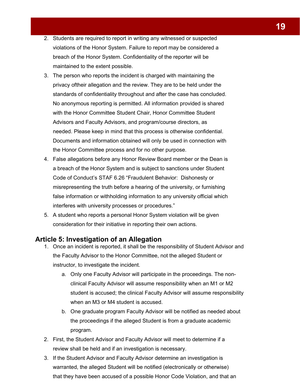- 2. Students are required to report in writing any witnessed or suspected violations of the Honor System. Failure to report may be considered a breach of the Honor System. Confidentiality of the reporter will be maintained to the extent possible.
- 3. The person who reports the incident is charged with maintaining the privacy oftheir allegation and the review. They are to be held under the standards of confidentiality throughout and after the case has concluded. No anonymous reporting is permitted. All information provided is shared with the Honor Committee Student Chair, Honor Committee Student Advisors and Faculty Advisors, and program/course directors, as needed. Please keep in mind that this process is otherwise confidential. Documents and information obtained will only be used in connection with the Honor Committee process and for no other purpose.
- 4. False allegations before any Honor Review Board member or the Dean is a breach of the Honor System and is subject to sanctions under Student Code of Conduct's STAF 6.26 "Fraudulent Behavior: Dishonesty or misrepresenting the truth before a hearing of the university, or furnishing false information or withholding information to any university official which interferes with university processes or procedures."
- 5. A student who reports a personal Honor System violation will be given consideration for their initiative in reporting their own actions.

#### <span id="page-18-0"></span>**Article 5: Investigation of an Allegation**

- 1. Once an incident is reported, it shall be the responsibility of Student Advisor and the Faculty Advisor to the Honor Committee, not the alleged Student or instructor, to investigate the incident.
	- a. Only one Faculty Advisor will participate in the proceedings. The nonclinical Faculty Advisor will assume responsibility when an M1 or M2 student is accused; the clinical Faculty Advisor will assume responsibility when an M3 or M4 student is accused.
	- b. One graduate program Faculty Advisor will be notified as needed about the proceedings if the alleged Student is from a graduate academic program.
- 2. First, the Student Advisor and Faculty Advisor will meet to determine if a review shall be held and if an investigation is necessary.
- 3. If the Student Advisor and Faculty Advisor determine an investigation is warranted, the alleged Student will be notified (electronically or otherwise) that they have been accused of a possible Honor Code Violation, and that an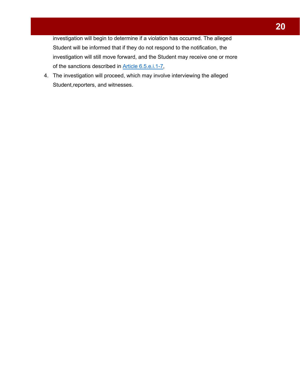investigation will begin to determine if a violation has occurred. The alleged Student will be informed that if they do not respond to the notification, the investigation will still move forward, and the Student may receive one or more of the sanctions described in [Article 6.5.e.i.1-7,](#page-22-0)

4. The investigation will proceed, which may involve interviewing the alleged Student, reporters, and witnesses.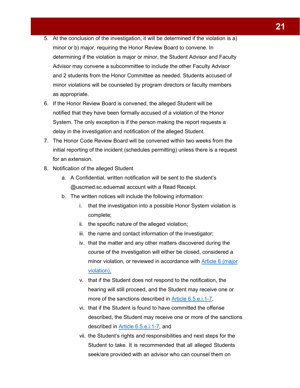- 5. At the conclusion of the investigation, it will be determined if the violation is a) minor or b) major, requiring the Honor Review Board to convene. In determining if the violation is major or minor, the Student Advisor and Faculty Advisor may convene a subcommittee to include the other Faculty Advisor and 2 students from the Honor Committee as needed. Students accused of minor violations will be counseled by program directors or faculty members as appropriate.
- 6. If the Honor Review Board is convened, the alleged Student will be notified that they have been formally accused of a violation of the Honor System. The only exception is if the person making the report requests a delay in the investigation and notification of the alleged Student.
- 7. The Honor Code Review Board will be convened within two weeks from the initial reporting of the incident (schedules permitting) unless there is a request for an extension.
- 8. Notification of the alleged Student
	- a. A Confidential, written notification will be sent to the student's @uscmed.sc.eduemail account with a Read Receipt.
	- b. The written notices will include the following information:
		- i. that the investigation into a possible Honor System violation is complete;
		- ii. the specific nature of the alleged violation;
		- iii. the name and contact information of the Investigator;
		- iv. that the matter and any other matters discovered during the course of the investigation will either be closed, considered a minor violation, or reviewed in accordance with [Article 6 \(](#page-22-0)major violation),
		- v. that if the Student does not respond to the notification, the hearing will still proceed, and the Student may receive one or more of the sanctions described in Article [6.5.e.i.1-7,](#page-22-0)
		- vi. that if the Student is found to have committed the offense described, the Student may receive one or more of the sanctions described in Article [6.5.e.i.1-7,](#page-22-0) and
		- vii. the Student's rights and responsibilities and next steps for the Student to take. It is recommended that all alleged Students seek/are provided with an advisor who can counsel them on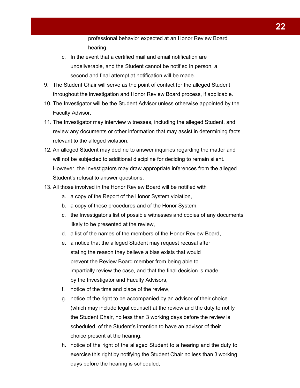professional behavior expected at an Honor Review Board hearing.

- c. In the event that a certified mail and email notification are undeliverable, and the Student cannot be notified in person, a second and final attempt at notification will be made.
- 9. The Student Chair will serve as the point of contact for the alleged Student throughout the investigation and Honor Review Board process, if applicable.
- 10. The Investigator will be the Student Advisor unless otherwise appointed by the Faculty Advisor.
- 11. The Investigator may interview witnesses, including the alleged Student, and review any documents or other information that may assist in determining facts relevant to the alleged violation.
- 12. An alleged Student may decline to answer inquiries regarding the matter and will not be subjected to additional discipline for deciding to remain silent. However, the Investigators may draw appropriate inferences from the alleged Student's refusal to answer questions.
- 13. All those involved in the Honor Review Board will be notified with
	- a. a copy of the Report of the Honor System violation,
	- b. a copy of these procedures and of the Honor System,
	- c. the Investigator's list of possible witnesses and copies of any documents likely to be presented at the review,
	- d. a list of the names of the members of the Honor Review Board,
	- e. a notice that the alleged Student may request recusal after stating the reason they believe a bias exists that would prevent the Review Board member from being able to impartially review the case, and that the final decision is made by the Investigator and Faculty Advisors,
	- f. notice of the time and place of the review,
	- g. notice of the right to be accompanied by an advisor of their choice (which may include legal counsel) at the review and the duty to notify the Student Chair, no less than 3 working days before the review is scheduled, of the Student's intention to have an advisor of their choice present at the hearing,
	- h. notice of the right of the alleged Student to a hearing and the duty to exercise this right by notifying the Student Chair no less than 3 working days before the hearing is scheduled,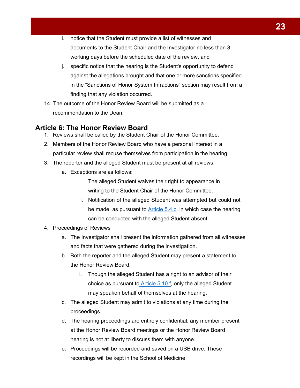- i. notice that the Student must provide a list of witnesses and documents to the Student Chair and the Investigator no less than 3 working days before the scheduled date of the review, and
- j. specific notice that the hearing is the Student's opportunity to defend against the allegations brought and that one or more sanctions specified in the "Sanctions of Honor System Infractions" section may result from a finding that any violation occurred.
- 14. The outcome of the Honor Review Board will be submitted as a recommendation to the Dean.

### <span id="page-22-0"></span>**Article 6: The Honor Review Board**

- 1. Reviews shall be called by the Student Chair of the Honor Committee.
- 2. Members of the Honor Review Board who have a personal interest in a particular review shall recuse themselves from participation in the hearing.
- 3. The reporter and the alleged Student must be present at all reviews.
	- a. Exceptions are as follows:
		- i. The alleged Student waives their right to appearance in writing to the Student Chair of the Honor Committee.
		- ii. Notification of the alleged Student was attempted but could not be made, as pursuant to [Article 5.4.c,](#page-18-0) in which case the hearing can be conducted with the alleged Student absent.
- 4. Proceedings of Reviews
	- a. The Investigator shall present the information gathered from all witnesses and facts that were gathered during the investigation.
	- b. Both the reporter and the alleged Student may present a statement to the Honor Review Board.
		- i. Though the alleged Student has a right to an advisor of their choice as pursuant to [Article 5.10.f,](#page-18-0) only the alleged Student may speakon behalf of themselves at the hearing.
	- c. The alleged Student may admit to violations at any time during the proceedings.
	- d. The hearing proceedings are entirely confidential; any member present at the Honor Review Board meetings or the Honor Review Board hearing is not at liberty to discuss them with anyone.
	- e. Proceedings will be recorded and saved on a USB drive. These recordings will be kept in the School of Medicine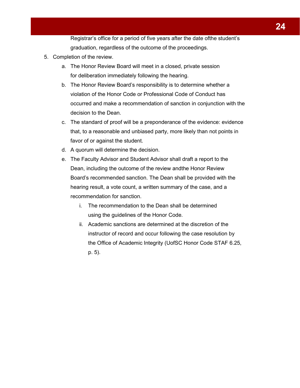Registrar's office for a period of five years after the date ofthe student's graduation, regardless of the outcome of the proceedings.

- 5. Completion of the review.
	- a. The Honor Review Board will meet in a closed, private session for deliberation immediately following the hearing.
	- b. The Honor Review Board's responsibility is to determine whether a violation of the Honor Code or Professional Code of Conduct has occurred and make a recommendation of sanction in conjunction with the decision to the Dean.
	- c. The standard of proof will be a preponderance of the evidence: evidence that, to a reasonable and unbiased party, more likely than not points in favor of or against the student.
	- d. A quorum will determine the decision.
	- e. The Faculty Advisor and Student Advisor shall draft a report to the Dean, including the outcome of the review andthe Honor Review Board's recommended sanction. The Dean shall be provided with the hearing result, a vote count, a written summary of the case, and a recommendation for sanction.
		- i. The recommendation to the Dean shall be determined using the guidelines of the Honor Code.
		- ii. Academic sanctions are determined at the discretion of the instructor of record and occur following the case resolution by the Office of Academic Integrity (UofSC Honor Code STAF 6.25, p. 5).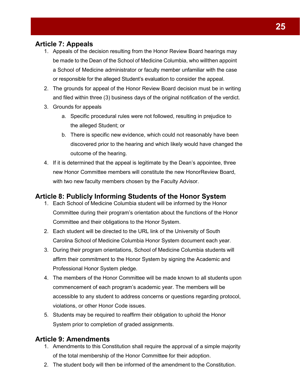### <span id="page-24-0"></span>**Article 7: Appeals**

- 1. Appeals of the decision resulting from the Honor Review Board hearings may be made to the Dean of the School of Medicine Columbia, who willthen appoint a School of Medicine administrator or faculty member unfamiliar with the case or responsible for the alleged Student's evaluation to consider the appeal.
- 2. The grounds for appeal of the Honor Review Board decision must be in writing and filed within three (3) business days of the original notification of the verdict.
- 3. Grounds for appeals
	- a. Specific procedural rules were not followed, resulting in prejudice to the alleged Student; or
	- b. There is specific new evidence, which could not reasonably have been discovered prior to the hearing and which likely would have changed the outcome of the hearing.
- 4. If it is determined that the appeal is legitimate by the Dean's appointee, three new Honor Committee members will constitute the new HonorReview Board, with two new faculty members chosen by the Faculty Advisor.

### <span id="page-24-1"></span>**Article 8: Publicly Informing Students of the Honor System**

- 1. Each School of Medicine Columbia student will be informed by the Honor Committee during their program's orientation about the functions of the Honor Committee and their obligations to the Honor System.
- 2. Each student will be directed to the URL link of the University of South Carolina School of Medicine Columbia Honor System document each year.
- 3. During their program orientations, School of Medicine Columbia students will affirm their commitment to the Honor System by signing the Academic and Professional Honor System pledge.
- 4. The members of the Honor Committee will be made known to all students upon commencement of each program's academic year. The members will be accessible to any student to address concerns or questions regarding protocol, violations, or other Honor Code issues.
- 5. Students may be required to reaffirm their obligation to uphold the Honor System prior to completion of graded assignments.

### <span id="page-24-2"></span>**Article 9: Amendments**

- 1. Amendments to this Constitution shall require the approval of a simple majority of the total membership of the Honor Committee for their adoption.
- 2. The student body will then be informed of the amendment to the Constitution.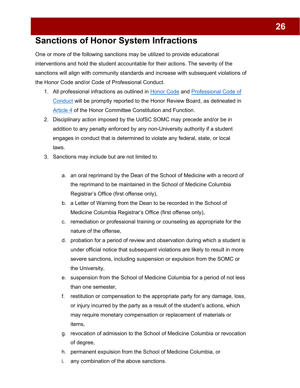# <span id="page-25-0"></span>**Sanctions of Honor System Infractions**

One or more of the following sanctions may be utilized to provide educational interventions and hold the student accountable for their actions. The severity of the sanctions will align with community standards and increase with subsequent violations of the Honor Code and/or Code of Professional Conduct.

- 1. All professional infractions as outlined in Honor Code and Professional Code of Conduct will be promptly reported to the Honor Review Board, as delineated in Article 4 of the Honor Committee Constitution and Function.
- 2. Disciplinary action imposed by the UofSC SOMC may precede and/or be in addition to any penalty enforced by any non-University authority if a student engages in conduct that is determined to violate any federal, state, or local laws.
- 3. Sanctions may include but are not limited to
	- a. an oral reprimand by the Dean of the School of Medicine with a record of the reprimand to be maintained in the School of Medicine Columbia Registrar's Office (first offense only),
	- b. a Letter of Warning from the Dean to be recorded in the School of Medicine Columbia Registrar's Office (first offense only),
	- c. remediation or professional training or counseling as appropriate for the nature of the offense,
	- d. probation for a period of review and observation during which a student is under official notice that subsequent violations are likely to result in more severe sanctions, including suspension or expulsion from the SOMC or the University,
	- e. suspension from the School of Medicine Columbia for a period of not less than one semester,
	- f. restitution or compensation to the appropriate party for any damage, loss, or injury incurred by the party as a result of the student's actions, which may require monetary compensation or replacement of materials or items,
	- g. revocation of admission to the School of Medicine Columbia or revocation of degree,
	- h. permanent expulsion from the School of Medicine Columbia, or
	- i. any combination of the above sanctions.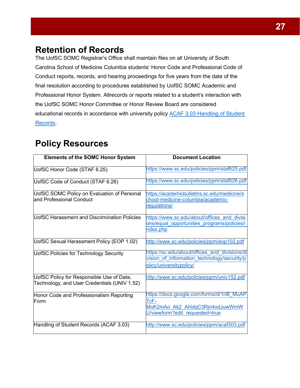# <span id="page-26-0"></span>**Retention of Records**

The UofSC SOMC Registrar's Office shall maintain files on all University of South Carolina School of Medicine Columbia students' Honor Code and Professional Code of Conduct reports, records, and hearing proceedings for five years from the date of the final resolution according to procedures established by UofSC SOMC Academic and Professional Honor System. Allrecords or reports related to a student's interaction with the UofSC SOMC Honor Committee or Honor Review Board are considered educational records in accordance with university policy **ACAF 3.03 Handling of Student** Records.

# <span id="page-26-1"></span>**Policy Resources**

| <b>Elements of the SOMC Honor System</b>                                                  | <b>Document Location</b>                                                                                                |
|-------------------------------------------------------------------------------------------|-------------------------------------------------------------------------------------------------------------------------|
| UofSC Honor Code (STAF 6.25)                                                              | https://www.sc.edu/policies/ppm/staf625.pdf                                                                             |
| UofSC Code of Conduct (STAF 6.26)                                                         | https://www.sc.edu/policies/ppm/staf626.pdf                                                                             |
| UofSC SOMC Policy on Evaluation of Personal<br>and Professional Conduct                   | https://academicbulletins.sc.edu/medicine/s<br>chool-medicine-columbia/academic-<br>regulations/                        |
| UofSC Harassment and Discrimination Policies                                              | https://www.sc.edu/about/offices and divisi<br>ons/equal opportunities programs/policies/i<br>ndex.php                  |
| UofSC Sexual Harassment Policy (EOP 1.02)                                                 | http://www.sc.edu/policies/ppm/eop102.pdf                                                                               |
| <b>UofSC Policies for Technology Security</b>                                             | https://sc.edu/about/offices and divisions/di<br>vision of information technology/security/p<br>olicy/universitypolicy/ |
| UofSC Policy for Responsible Use of Data,<br>Technology, and User Credentials (UNIV 1.52) | http://www.sc.edu/policies/ppm/univ152.pdf                                                                              |
| Honor Code and Professionalism Reporting<br>Form                                          | https://docs.google.com/forms/d/1nB MuAP<br>7cF-<br>MoK2mAo Ak2 AhidqC3Rjn4odJuwWmW<br>U/viewform?edit requested=true   |
| Handling of Student Records (ACAF 3.03)                                                   | http://www.sc.edu/policies/ppm/acaf303.pdf                                                                              |